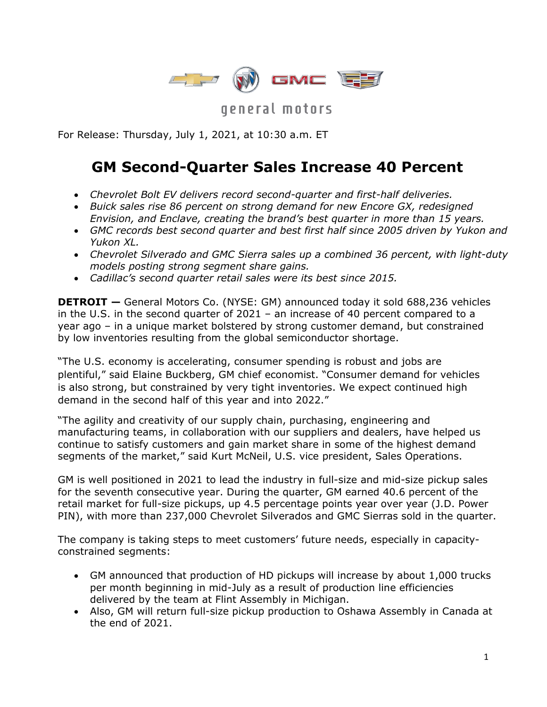

general motors

For Release: Thursday, July 1, 2021, at 10:30 a.m. ET

# **GM Second-Quarter Sales Increase 40 Percent**

- *Chevrolet Bolt EV delivers record second-quarter and first-half deliveries.*
- *Buick sales rise 86 percent on strong demand for new Encore GX, redesigned Envision, and Enclave, creating the brand's best quarter in more than 15 years.*
- *GMC records best second quarter and best first half since 2005 driven by Yukon and Yukon XL.*
- *Chevrolet Silverado and GMC Sierra sales up a combined 36 percent, with light-duty models posting strong segment share gains.*
- *Cadillac's second quarter retail sales were its best since 2015.*

**DETROIT —** General Motors Co. (NYSE: GM) announced today it sold 688,236 vehicles in the U.S. in the second quarter of 2021 – an increase of 40 percent compared to a year ago – in a unique market bolstered by strong customer demand, but constrained by low inventories resulting from the global semiconductor shortage.

"The U.S. economy is accelerating, consumer spending is robust and jobs are plentiful," said Elaine Buckberg, GM chief economist. "Consumer demand for vehicles is also strong, but constrained by very tight inventories. We expect continued high demand in the second half of this year and into 2022."

"The agility and creativity of our supply chain, purchasing, engineering and manufacturing teams, in collaboration with our suppliers and dealers, have helped us continue to satisfy customers and gain market share in some of the highest demand segments of the market," said Kurt McNeil, U.S. vice president, Sales Operations.

GM is well positioned in 2021 to lead the industry in full-size and mid-size pickup sales for the seventh consecutive year. During the quarter, GM earned 40.6 percent of the retail market for full-size pickups, up 4.5 percentage points year over year (J.D. Power PIN), with more than 237,000 Chevrolet Silverados and GMC Sierras sold in the quarter.

The company is taking steps to meet customers' future needs, especially in capacityconstrained segments:

- GM announced that production of HD pickups will increase by about 1,000 trucks per month beginning in mid-July as a result of production line efficiencies delivered by the team at Flint Assembly in Michigan.
- Also, GM will return full-size pickup production to Oshawa Assembly in Canada at the end of 2021.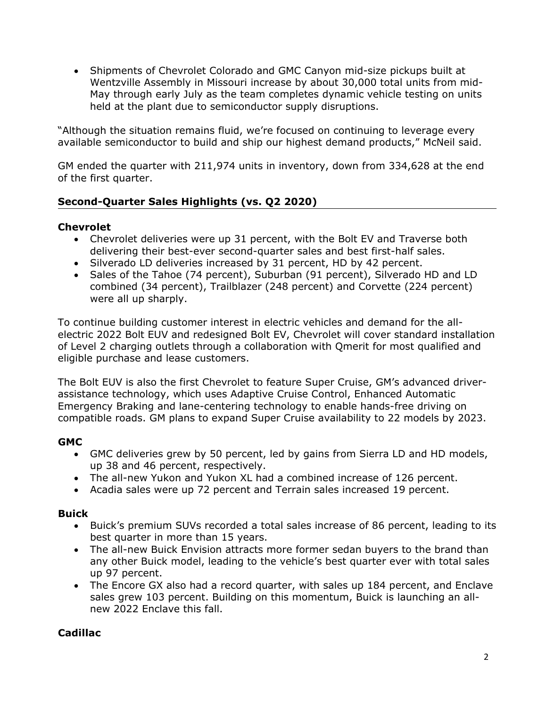• Shipments of Chevrolet Colorado and GMC Canyon mid-size pickups built at Wentzville Assembly in Missouri increase by about 30,000 total units from mid-May through early July as the team completes dynamic vehicle testing on units held at the plant due to semiconductor supply disruptions.

"Although the situation remains fluid, we're focused on continuing to leverage every available semiconductor to build and ship our highest demand products," McNeil said.

GM ended the quarter with 211,974 units in inventory, down from 334,628 at the end of the first quarter.

## **Second-Quarter Sales Highlights (vs. Q2 2020)**

#### **Chevrolet**

- Chevrolet deliveries were up 31 percent, with the Bolt EV and Traverse both delivering their best-ever second-quarter sales and best first-half sales.
- Silverado LD deliveries increased by 31 percent, HD by 42 percent.
- Sales of the Tahoe (74 percent), Suburban (91 percent), Silverado HD and LD combined (34 percent), Trailblazer (248 percent) and Corvette (224 percent) were all up sharply.

To continue building customer interest in electric vehicles and demand for the allelectric 2022 Bolt EUV and redesigned Bolt EV, Chevrolet will cover standard installation of Level 2 charging outlets through a collaboration with Qmerit for most qualified and eligible purchase and lease customers.

The Bolt EUV is also the first Chevrolet to feature Super Cruise, GM's advanced driverassistance technology, which uses Adaptive Cruise Control, Enhanced Automatic Emergency Braking and lane-centering technology to enable hands-free driving on compatible roads. GM plans to expand Super Cruise availability to 22 models by 2023.

### **GMC**

- GMC deliveries grew by 50 percent, led by gains from Sierra LD and HD models, up 38 and 46 percent, respectively.
- The all-new Yukon and Yukon XL had a combined increase of 126 percent.
- Acadia sales were up 72 percent and Terrain sales increased 19 percent.

### **Buick**

- Buick's premium SUVs recorded a total sales increase of 86 percent, leading to its best quarter in more than 15 years.
- The all-new Buick Envision attracts more former sedan buyers to the brand than any other Buick model, leading to the vehicle's best quarter ever with total sales up 97 percent.
- The Encore GX also had a record quarter, with sales up 184 percent, and Enclave sales grew 103 percent. Building on this momentum, Buick is launching an allnew 2022 Enclave this fall.

## **Cadillac**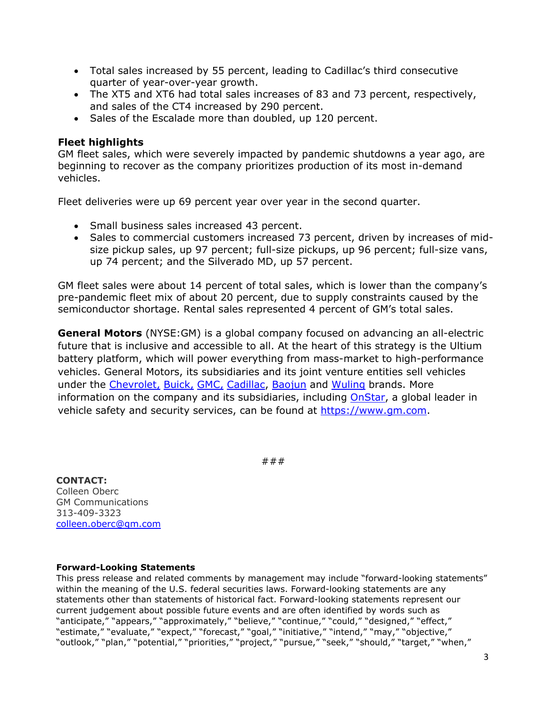- Total sales increased by 55 percent, leading to Cadillac's third consecutive quarter of year-over-year growth.
- The XT5 and XT6 had total sales increases of 83 and 73 percent, respectively, and sales of the CT4 increased by 290 percent.
- Sales of the Escalade more than doubled, up 120 percent.

#### **Fleet highlights**

GM fleet sales, which were severely impacted by pandemic shutdowns a year ago, are beginning to recover as the company prioritizes production of its most in-demand vehicles.

Fleet deliveries were up 69 percent year over year in the second quarter.

- Small business sales increased 43 percent.
- Sales to commercial customers increased 73 percent, driven by increases of midsize pickup sales, up 97 percent; full-size pickups, up 96 percent; full-size vans, up 74 percent; and the Silverado MD, up 57 percent.

GM fleet sales were about 14 percent of total sales, which is lower than the company's pre-pandemic fleet mix of about 20 percent, due to supply constraints caused by the semiconductor shortage. Rental sales represented 4 percent of GM's total sales.

**General Motors** (NYSE:GM) is a global company focused on advancing an all-electric future that is inclusive and accessible to all. At the heart of this strategy is the Ultium battery platform, which will power everything from mass-market to high-performance vehicles. General Motors, its subsidiaries and its joint venture entities sell vehicles under the [Chevrolet,](https://www.chevrolet.com/?evar25=gm_media_release) [Buick,](https://www.buick.com/?evar25=gm_media_release) [GMC,](https://www.gmc.com/?evar25=gm_media_release) [Cadillac,](https://www.cadillac.com/?evar25=gm_media_release) [Baojun](https://www.sgmw.com.cn/) and [Wuling](https://www.sgmw.com.cn/) brands. More information on the company and its subsidiaries, including [OnStar,](https://www.onstar.com/us/en/home/) a global leader in vehicle safety and security services, can be found at [https://www.gm.com.](https://www.gm.com/)

###

#### **CONTACT:**

Colleen Oberc GM Communications 313-409-3323 [colleen.oberc@gm.com](mailto:colleen.oberc@gm.com)

#### **Forward-Looking Statements**

This press release and related comments by management may include "forward-looking statements" within the meaning of the U.S. federal securities laws. Forward-looking statements are any statements other than statements of historical fact. Forward-looking statements represent our current judgement about possible future events and are often identified by words such as "anticipate," "appears," "approximately," "believe," "continue," "could," "designed," "effect," "estimate," "evaluate," "expect," "forecast," "goal," "initiative," "intend," "may," "objective," "outlook," "plan," "potential," "priorities," "project," "pursue," "seek," "should," "target," "when,"